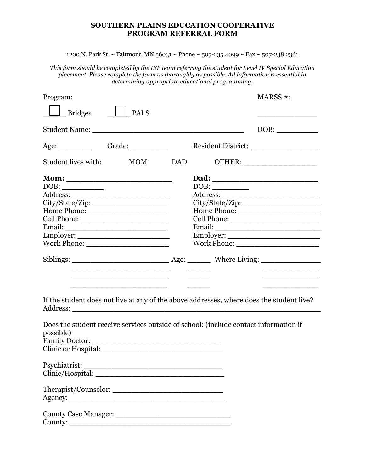## **SOUTHERN PLAINS EDUCATION COOPERATIVE PROGRAM REFERRAL FORM**

1200 N. Park St. ~ Fairmont, MN 56031 ~ Phone ~ 507-235.4099 ~ Fax ~ 507-238.2361

*This form should be completed by the IEP team referring the student for Level IV Special Education placement. Please complete the form as thoroughly as possible. All information is essential in determining appropriate educational programming.* 

| Program:                                                                                                                                                                                                                                      |                                                                                                                | MARSS #:                                                                                                              |
|-----------------------------------------------------------------------------------------------------------------------------------------------------------------------------------------------------------------------------------------------|----------------------------------------------------------------------------------------------------------------|-----------------------------------------------------------------------------------------------------------------------|
| <b>Bridges</b><br><b>PALS</b>                                                                                                                                                                                                                 |                                                                                                                |                                                                                                                       |
|                                                                                                                                                                                                                                               |                                                                                                                |                                                                                                                       |
|                                                                                                                                                                                                                                               |                                                                                                                |                                                                                                                       |
| Student lives with:<br>$_{\rm MOM}$                                                                                                                                                                                                           | DAD and the state of the state of the state of the state of the state of the state of the state of the state o |                                                                                                                       |
| City/State/Zip:                                                                                                                                                                                                                               |                                                                                                                | Employer:                                                                                                             |
| <u> 1989 - Johann Barbara, martin amerikan basar dan berasal dalam basa dalam basar dalam basar dalam basa dalam</u><br><u> 1980 - Jan Samuel Barbara, menyebara bagian pengaran pengaran pengaran pengaran pengaran pengaran pengaran pe</u> |                                                                                                                | <u> 1980 - Johann Barbara, martin amerikan basar dan berasal dalam basar dalam basar dalam basar dalam basar dala</u> |
| If the student does not live at any of the above addresses, where does the student live?                                                                                                                                                      |                                                                                                                |                                                                                                                       |
| Does the student receive services outside of school: (include contact information if<br>possible)                                                                                                                                             |                                                                                                                |                                                                                                                       |
|                                                                                                                                                                                                                                               |                                                                                                                |                                                                                                                       |
|                                                                                                                                                                                                                                               |                                                                                                                |                                                                                                                       |
|                                                                                                                                                                                                                                               |                                                                                                                |                                                                                                                       |